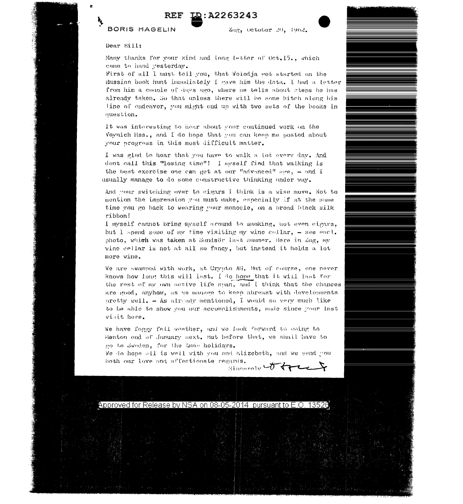

## BORIS HAGELIN

Zag, October 20, 1962.

## Dear Bill:

Many thanks for your kind and long letter of Oct.15., which came to hand yesterday.

First of all I must tell you, that Wolodja wot started on the Russian book hunt immediately I gave him the data. I had a letter from him a couple of days ago, where he tells about steps he has alrendy taken. So that unless there will be some bitch along his line of endeavor, you might end up with two sets of the books in nuestion.

It was interesting to hear about your continued work on the Voynich Mss., and I do hope that you can keep me posted about your progress in this most difficult matter.

I was glad to hear that you have to walk a lot every day. And dont call this "losing time"! I myself find that walking is the best exercise one can get at our "advanced" age,  $-$  and I usually manage to do some constructive thinking under way.

And your switching over to eigars I think is a wise move. Not to mention the impression you must make, especially if at the same time you go back to wearing your monocle, on a broad black silk ribbon!

I myself cannot bring myself around to smoking, not even cigars. but I spend some of my time visiting my wine collar, - see encl. photo, which was taken at Sundsör last summer. Here in Zug, my wine cellar is not at all so fancy, but instead it holds a lot more wine.

We are swamped with work, at Crypto AG. But of course, one never knows how long this will last. I do hope that it will last for the rest of my own active life span, and I think that the chances are good, anyhow, as we manage to keep abreast with developments pretty well. - As already mentioned, I would so very much like to be able to show you our accomplishments, made since your last visit here.

We have foggy fall weather, and we look forward to going to Menton and of January next. But before that, we shall have to go to Sweden, for the Emax holidays.

We do hope all is well with you and Elizebeth, and we send you both our love and affectionate regards.

Sincaraly to tree?

Approved for Release by NSA on 0<u>8-05-2014 pursuant to E.O. 13526</u>